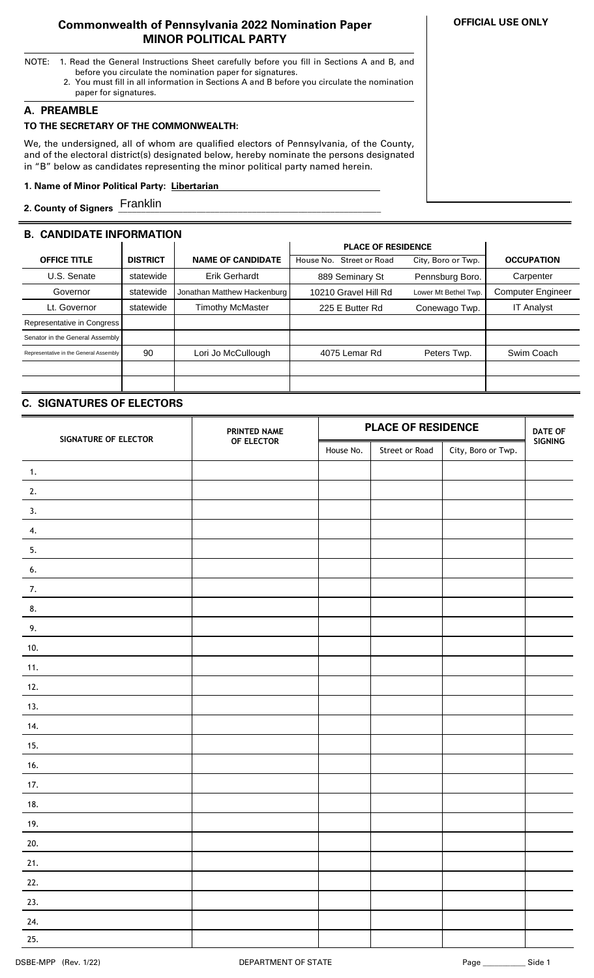## **Commonwealth of Pennsylvania 2022 Nomination Paper MINOR POLITICAL PARTY**

- NOTE: 1. Read the General Instructions Sheet carefully before you fill in Sections A and B, and before you circulate the nomination paper for signatures.
	- 2. You must fill in all information in Sections A and B before you circulate the nomination paper for signatures.

## **A. PREAMBLE**

## **TO THE SECRETARY OF THE COMMONWEALTH:**

We, the undersigned, all of whom are qualified electors of Pennsylvania, of the County, and of the electoral district(s) designated below, hereby nominate the persons designated in "B" below as candidates representing the minor political party named herein.

#### **1. Name of Minor Political Party: Libertarian ..**

**2. County of Signers \_\_\_\_\_\_\_\_\_\_\_\_\_\_\_\_\_\_\_\_\_\_\_\_\_\_\_\_\_\_\_\_\_\_\_\_\_\_\_\_\_\_\_\_\_\_\_\_\_\_\_\_\_\_\_\_\_** Franklin

## **B. CANDIDATE INFORMATION**

|                                        |                 |                             | <b>PLACE OF RESIDENCE</b>   |                      |                          |
|----------------------------------------|-----------------|-----------------------------|-----------------------------|----------------------|--------------------------|
| <b>OFFICE TITLE</b>                    | <b>DISTRICT</b> | <b>NAME OF CANDIDATE</b>    | Street or Road<br>House No. | City, Boro or Twp.   | <b>OCCUPATION</b>        |
| U.S. Senate                            | statewide       | Erik Gerhardt               | 889 Seminary St             | Pennsburg Boro.      | Carpenter                |
| Governor                               | statewide       | Jonathan Matthew Hackenburg | 10210 Gravel Hill Rd        | Lower Mt Bethel Twp. | <b>Computer Engineer</b> |
| Lt. Governor                           | statewide       | <b>Timothy McMaster</b>     | 225 E Butter Rd             | Conewago Twp.        | <b>IT Analyst</b>        |
| Representative in Congress             |                 |                             |                             |                      |                          |
| Senator in the General Assembly        |                 |                             |                             |                      |                          |
| Representative in the General Assembly | 90              | Lori Jo McCullough          | 4075 Lemar Rd               | Peters Twp.          | Swim Coach               |
|                                        |                 |                             |                             |                      |                          |
|                                        |                 |                             |                             |                      |                          |

# **C. SIGNATURES OF ELECTORS**

| SIGNATURE OF ELECTOR | PRINTED NAME | <b>PLACE OF RESIDENCE</b> |                |                    | <b>DATE OF</b> |
|----------------------|--------------|---------------------------|----------------|--------------------|----------------|
|                      | OF ELECTOR   | House No.                 | Street or Road | City, Boro or Twp. | SIGNING        |
| $\mathbf{1}$ .       |              |                           |                |                    |                |
| 2.                   |              |                           |                |                    |                |
| 3.                   |              |                           |                |                    |                |
| 4.                   |              |                           |                |                    |                |
| 5.                   |              |                           |                |                    |                |
| 6.                   |              |                           |                |                    |                |
| 7.                   |              |                           |                |                    |                |
| 8.                   |              |                           |                |                    |                |
| 9.                   |              |                           |                |                    |                |
| 10.                  |              |                           |                |                    |                |
| 11.                  |              |                           |                |                    |                |
| 12.                  |              |                           |                |                    |                |
| 13.                  |              |                           |                |                    |                |
| 14.                  |              |                           |                |                    |                |
| 15.                  |              |                           |                |                    |                |
| 16.                  |              |                           |                |                    |                |
| 17.                  |              |                           |                |                    |                |
| 18.                  |              |                           |                |                    |                |
| 19.                  |              |                           |                |                    |                |
| 20.                  |              |                           |                |                    |                |
| 21.                  |              |                           |                |                    |                |
| 22.                  |              |                           |                |                    |                |
| 23.                  |              |                           |                |                    |                |
| 24.                  |              |                           |                |                    |                |
| 25.                  |              |                           |                |                    |                |